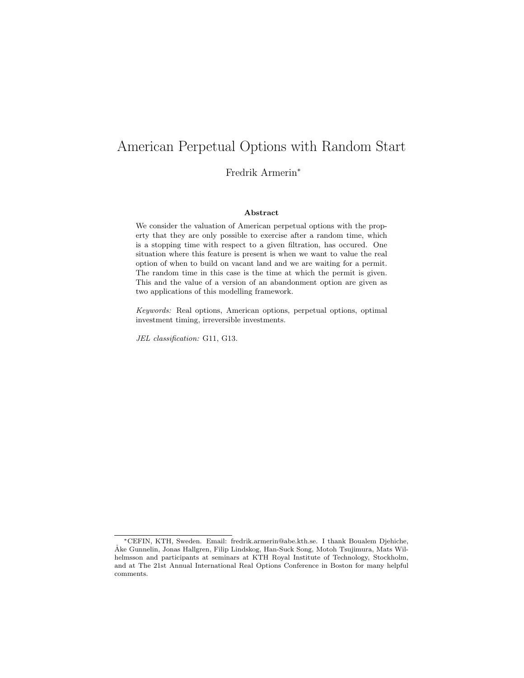# American Perpetual Options with Random Start

Fredrik Armerin<sup>∗</sup>

#### Abstract

We consider the valuation of American perpetual options with the property that they are only possible to exercise after a random time, which is a stopping time with respect to a given filtration, has occured. One situation where this feature is present is when we want to value the real option of when to build on vacant land and we are waiting for a permit. The random time in this case is the time at which the permit is given. This and the value of a version of an abandonment option are given as two applications of this modelling framework.

Keywords: Real options, American options, perpetual options, optimal investment timing, irreversible investments.

JEL classification: G11, G13.

<sup>∗</sup>CEFIN, KTH, Sweden. Email: fredrik.armerin@abe.kth.se. I thank Boualem Djehiche, Åke Gunnelin, Jonas Hallgren, Filip Lindskog, Han-Suck Song, Motoh Tsujimura, Mats Wilhelmsson and participants at seminars at KTH Royal Institute of Technology, Stockholm, and at The 21st Annual International Real Options Conference in Boston for many helpful comments.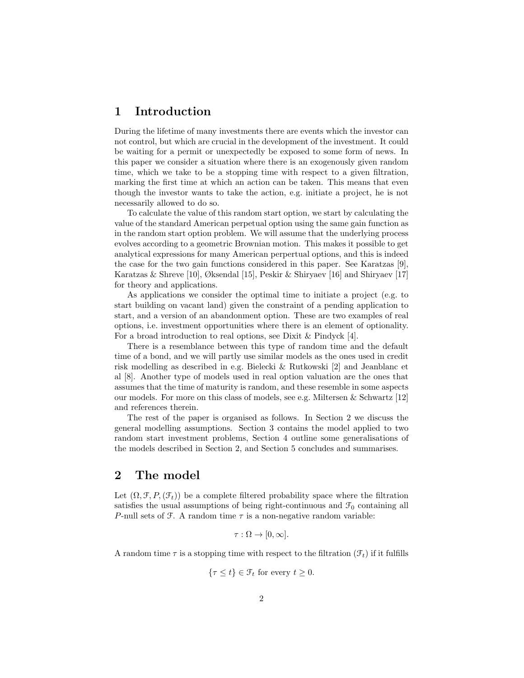## 1 Introduction

During the lifetime of many investments there are events which the investor can not control, but which are crucial in the development of the investment. It could be waiting for a permit or unexpectedly be exposed to some form of news. In this paper we consider a situation where there is an exogenously given random time, which we take to be a stopping time with respect to a given filtration, marking the first time at which an action can be taken. This means that even though the investor wants to take the action, e.g. initiate a project, he is not necessarily allowed to do so.

To calculate the value of this random start option, we start by calculating the value of the standard American perpetual option using the same gain function as in the random start option problem. We will assume that the underlying process evolves according to a geometric Brownian motion. This makes it possible to get analytical expressions for many American perpertual options, and this is indeed the case for the two gain functions considered in this paper. See Karatzas [9], Karatzas & Shreve [10], Øksendal [15], Peskir & Shiryaev [16] and Shiryaev [17] for theory and applications.

As applications we consider the optimal time to initiate a project (e.g. to start building on vacant land) given the constraint of a pending application to start, and a version of an abandonment option. These are two examples of real options, i.e. investment opportunities where there is an element of optionality. For a broad introduction to real options, see Dixit & Pindyck [4].

There is a resemblance between this type of random time and the default time of a bond, and we will partly use similar models as the ones used in credit risk modelling as described in e.g. Bielecki & Rutkowski [2] and Jeanblanc et al [8]. Another type of models used in real option valuation are the ones that assumes that the time of maturity is random, and these resemble in some aspects our models. For more on this class of models, see e.g. Miltersen & Schwartz  $[12]$ and references therein.

The rest of the paper is organised as follows. In Section 2 we discuss the general modelling assumptions. Section 3 contains the model applied to two random start investment problems, Section 4 outline some generalisations of the models described in Section 2, and Section 5 concludes and summarises.

# 2 The model

Let  $(\Omega, \mathcal{F}, P,(\mathcal{F}_t))$  be a complete filtered probability space where the filtration satisfies the usual assumptions of being right-continuous and  $\mathcal{F}_0$  containing all P-null sets of  $\mathcal F$ . A random time  $\tau$  is a non-negative random variable:

$$
\tau : \Omega \to [0, \infty].
$$

A random time  $\tau$  is a stopping time with respect to the filtration  $(\mathcal{F}_t)$  if it fulfills

$$
\{\tau \le t\} \in \mathcal{F}_t \text{ for every } t \ge 0.
$$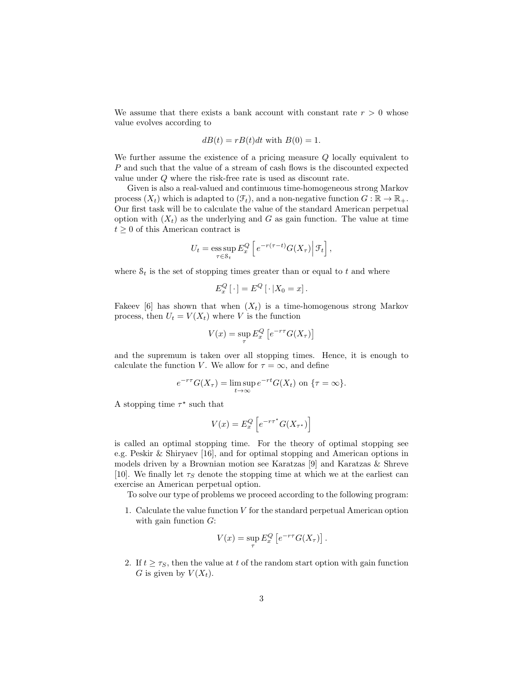We assume that there exists a bank account with constant rate  $r > 0$  whose value evolves according to

$$
dB(t) = rB(t)dt
$$
 with  $B(0) = 1$ .

We further assume the existence of a pricing measure Q locally equivalent to P and such that the value of a stream of cash flows is the discounted expected value under Q where the risk-free rate is used as discount rate.

Given is also a real-valued and continuous time-homogeneous strong Markov process  $(X_t)$  which is adapted to  $(\mathcal{F}_t)$ , and a non-negative function  $G : \mathbb{R} \to \mathbb{R}_+$ . Our first task will be to calculate the value of the standard American perpetual option with  $(X_t)$  as the underlying and G as gain function. The value at time  $t \geq 0$  of this American contract is

$$
U_t = \operatorname*{ess\,sup}_{\tau \in \mathcal{S}_t} E_x^Q \left[ e^{-r(\tau - t)} G(X_\tau) \middle| \mathcal{F}_t \right],
$$

where  $S_t$  is the set of stopping times greater than or equal to t and where

$$
E_x^Q[\cdot] = E^Q[\cdot | X_0 = x].
$$

Fakeev [6] has shown that when  $(X_t)$  is a time-homogenous strong Markov process, then  $U_t = V(X_t)$  where V is the function

$$
V(x) = \sup_{\tau} E_x^Q \left[ e^{-r\tau} G(X_\tau) \right]
$$

and the supremum is taken over all stopping times. Hence, it is enough to calculate the function V. We allow for  $\tau = \infty$ , and define

$$
e^{-r\tau}G(X_{\tau}) = \limsup_{t \to \infty} e^{-rt}G(X_t) \text{ on } \{\tau = \infty\}.
$$

A stopping time  $\tau^*$  such that

$$
V(x) = E_x^Q \left[ e^{-r\tau^*} G(X_{\tau^*}) \right]
$$

is called an optimal stopping time. For the theory of optimal stopping see e.g. Peskir & Shiryaev [16], and for optimal stopping and American options in models driven by a Brownian motion see Karatzas [9] and Karatzas & Shreve [10]. We finally let  $\tau_s$  denote the stopping time at which we at the earliest can exercise an American perpetual option.

To solve our type of problems we proceed according to the following program:

1. Calculate the value function  $V$  for the standard perpetual American option with gain function  $G$ :

$$
V(x) = \sup_{\tau} E_x^Q \left[ e^{-r\tau} G(X_\tau) \right].
$$

2. If  $t \geq \tau_s$ , then the value at t of the random start option with gain function G is given by  $V(X_t)$ .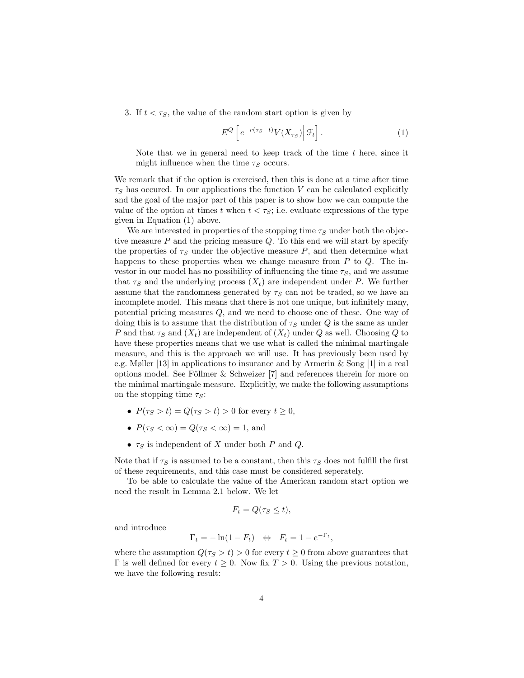3. If  $t < \tau_s$ , the value of the random start option is given by

$$
E^{Q}\left[e^{-r(\tau_{S}-t)}V(X_{\tau_{S}})\big|\,\mathcal{F}_{t}\right].\tag{1}
$$

Note that we in general need to keep track of the time  $t$  here, since it might influence when the time  $\tau_S$  occurs.

We remark that if the option is exercised, then this is done at a time after time  $\tau<sub>S</sub>$  has occured. In our applications the function V can be calculated explicitly and the goal of the major part of this paper is to show how we can compute the value of the option at times t when  $t < \tau_s$ ; i.e. evaluate expressions of the type given in Equation (1) above.

We are interested in properties of the stopping time  $\tau_S$  under both the objective measure  $P$  and the pricing measure  $Q$ . To this end we will start by specify the properties of  $\tau_S$  under the objective measure  $P$ , and then determine what happens to these properties when we change measure from  $P$  to  $Q$ . The investor in our model has no possibility of influencing the time  $\tau_s$ , and we assume that  $\tau<sub>S</sub>$  and the underlying process  $(X_t)$  are independent under P. We further assume that the randomness generated by  $\tau_S$  can not be traded, so we have an incomplete model. This means that there is not one unique, but infinitely many, potential pricing measures Q, and we need to choose one of these. One way of doing this is to assume that the distribution of  $\tau<sub>S</sub>$  under Q is the same as under P and that  $\tau_S$  and  $(X_t)$  are independent of  $(X_t)$  under Q as well. Choosing Q to have these properties means that we use what is called the minimal martingale measure, and this is the approach we will use. It has previously been used by e.g. Møller [13] in applications to insurance and by Armerin & Song [1] in a real options model. See Föllmer  $&$  Schweizer [7] and references therein for more on the minimal martingale measure. Explicitly, we make the following assumptions on the stopping time  $\tau_S$ :

- $P(\tau_S > t) = Q(\tau_S > t) > 0$  for every  $t \geq 0$ ,
- $P(\tau_S < \infty) = Q(\tau_S < \infty) = 1$ , and
- $\tau_S$  is independent of X under both P and Q.

Note that if  $\tau_S$  is assumed to be a constant, then this  $\tau_S$  does not fulfill the first of these requirements, and this case must be considered seperately.

To be able to calculate the value of the American random start option we need the result in Lemma 2.1 below. We let

$$
F_t = Q(\tau_S \le t),
$$

and introduce

$$
\Gamma_t = -\ln(1 - F_t) \quad \Leftrightarrow \quad F_t = 1 - e^{-\Gamma_t},
$$

where the assumption  $Q(\tau_s > t) > 0$  for every  $t \geq 0$  from above guarantees that Γ is well defined for every  $t \geq 0$ . Now fix  $T > 0$ . Using the previous notation, we have the following result: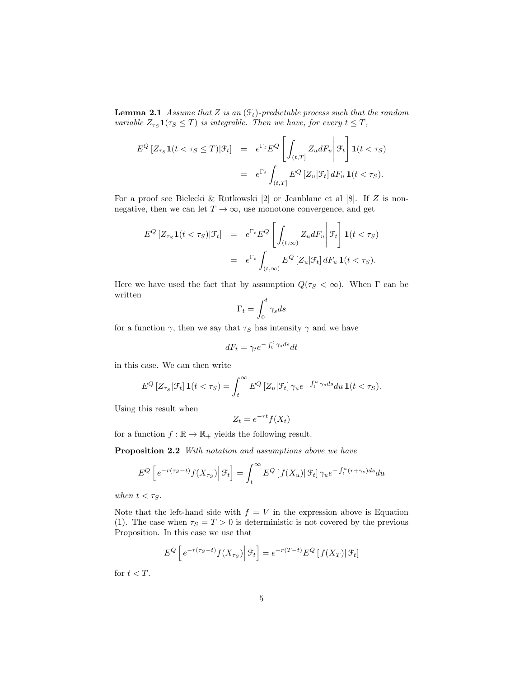**Lemma 2.1** Assume that Z is an  $(\mathcal{F}_t)$ -predictable process such that the random variable  $Z_{\tau_S} \mathbf{1}(\tau_S \leq T)$  is integrable. Then we have, for every  $t \leq T$ ,

$$
E^{Q}[Z_{\tau_{S}}\mathbf{1}(t<\tau_{S}\leq T)|\mathcal{F}_{t}] = e^{\Gamma_{t}}E^{Q}\left[\int_{(t,T]}Z_{u}dF_{u}\middle|\mathcal{F}_{t}\right]\mathbf{1}(t<\tau_{S})
$$

$$
= e^{\Gamma_{t}}\int_{(t,T]}E^{Q}[Z_{u}|\mathcal{F}_{t}]dF_{u}\mathbf{1}(t<\tau_{S}).
$$

For a proof see Bielecki & Rutkowski [2] or Jeanblanc et al [8]. If Z is nonnegative, then we can let  $T \to \infty$ , use monotone convergence, and get

$$
E^{Q}[Z_{\tau_{S}}\mathbf{1}(t<\tau_{S})|\mathcal{F}_{t}] = e^{\Gamma_{t}}E^{Q}\left[\int_{(t,\infty)}Z_{u}dF_{u}\middle|\mathcal{F}_{t}\right]\mathbf{1}(t<\tau_{S})
$$

$$
= e^{\Gamma_{t}}\int_{(t,\infty)}E^{Q}[Z_{u}|\mathcal{F}_{t}]dF_{u}\mathbf{1}(t<\tau_{S}).
$$

Here we have used the fact that by assumption  $Q(\tau_s < \infty)$ . When  $\Gamma$  can be written

$$
\Gamma_t = \int_0^t \gamma_s ds
$$

for a function  $\gamma$ , then we say that  $\tau_S$  has intensity  $\gamma$  and we have

$$
dF_t = \gamma_t e^{-\int_0^t \gamma_s ds} dt
$$

in this case. We can then write

$$
E^{Q}[Z_{\tau_{S}}|\mathcal{F}_{t}] \mathbf{1}(t<\tau_{S}) = \int_{t}^{\infty} E^{Q}[Z_{u}|\mathcal{F}_{t}] \gamma_{u} e^{-\int_{t}^{u} \gamma_{s} ds} du \mathbf{1}(t<\tau_{S}).
$$

Using this result when

$$
Z_t = e^{-rt} f(X_t)
$$

for a function  $f : \mathbb{R} \to \mathbb{R}_+$  yields the following result.

Proposition 2.2 With notation and assumptions above we have

$$
E^{Q}\left[e^{-r(\tau_{S}-t)}f(X_{\tau_{S}})\Big|\mathcal{F}_{t}\right] = \int_{t}^{\infty} E^{Q}\left[f(X_{u})\big|\mathcal{F}_{t}\right]\gamma_{u}e^{-\int_{t}^{u}(r+\gamma_{s})ds}du
$$

when  $t < \tau_S$ .

Note that the left-hand side with  $f = V$  in the expression above is Equation (1). The case when  $\tau_s = T > 0$  is deterministic is not covered by the previous Proposition. In this case we use that

$$
E^{Q}\left[e^{-r(\tau_{S}-t)}f(X_{\tau_{S}})\big|\,\mathcal{F}_{t}\right] = e^{-r(T-t)}E^{Q}\left[f(X_{T})\right|\mathcal{F}_{t}\right]
$$

for  $t < T$ .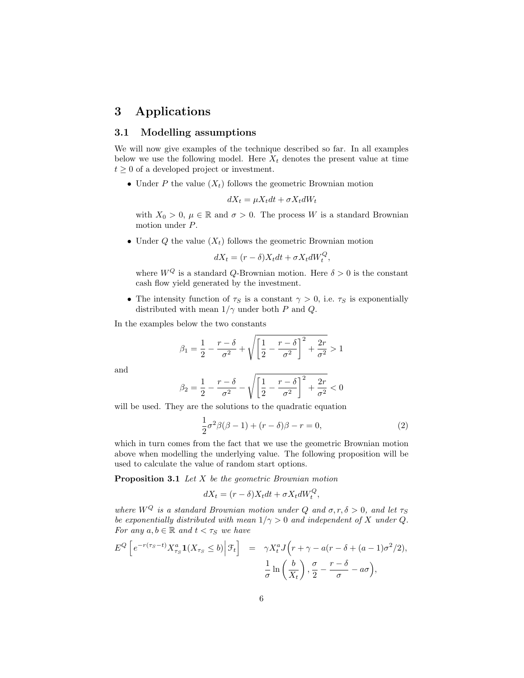# 3 Applications

### 3.1 Modelling assumptions

We will now give examples of the technique described so far. In all examples below we use the following model. Here  $X_t$  denotes the present value at time  $t \geq 0$  of a developed project or investment.

• Under P the value  $(X_t)$  follows the geometric Brownian motion

$$
dX_t = \mu X_t dt + \sigma X_t dW_t
$$

with  $X_0 > 0$ ,  $\mu \in \mathbb{R}$  and  $\sigma > 0$ . The process W is a standard Brownian motion under P.

• Under Q the value  $(X_t)$  follows the geometric Brownian motion

$$
dX_t = (r - \delta)X_t dt + \sigma X_t dW_t^Q,
$$

where  $W^Q$  is a standard Q-Brownian motion. Here  $\delta > 0$  is the constant cash flow yield generated by the investment.

• The intensity function of  $\tau_s$  is a constant  $\gamma > 0$ , i.e.  $\tau_s$  is exponentially distributed with mean  $1/\gamma$  under both P and Q.

In the examples below the two constants

$$
\beta_1 = \frac{1}{2} - \frac{r - \delta}{\sigma^2} + \sqrt{\left[\frac{1}{2} - \frac{r - \delta}{\sigma^2}\right]^2 + \frac{2r}{\sigma^2}} > 1
$$

and

$$
\beta_2 = \frac{1}{2} - \frac{r - \delta}{\sigma^2} - \sqrt{\left[\frac{1}{2} - \frac{r - \delta}{\sigma^2}\right]^2 + \frac{2r}{\sigma^2}} < 0
$$

will be used. They are the solutions to the quadratic equation

1

$$
\frac{1}{2}\sigma^2\beta(\beta-1) + (r-\delta)\beta - r = 0,
$$
\n(2)

which in turn comes from the fact that we use the geometric Brownian motion above when modelling the underlying value. The following proposition will be used to calculate the value of random start options.

**Proposition 3.1** Let  $X$  be the geometric Brownian motion

$$
dX_t = (r - \delta)X_t dt + \sigma X_t dW_t^Q,
$$

where  $W^Q$  is a standard Brownian motion under Q and  $\sigma, r, \delta > 0$ , and let  $\tau_S$ be exponentially distributed with mean  $1/\gamma > 0$  and independent of X under Q. For any  $a, b \in \mathbb{R}$  and  $t < \tau_S$  we have

$$
E^{Q}\left[e^{-r(\tau_{S}-t)}X_{\tau_{S}}^{a}\mathbf{1}(X_{\tau_{S}}\leq b)\big|\mathcal{F}_{t}\right] = \gamma X_{t}^{a}J\left(r+\gamma-a(r-\delta+(a-1)\sigma^{2}/2),\frac{1}{\sigma}\ln\left(\frac{b}{X_{t}}\right),\frac{\sigma}{2}-\frac{r-\delta}{\sigma}-a\sigma\right),
$$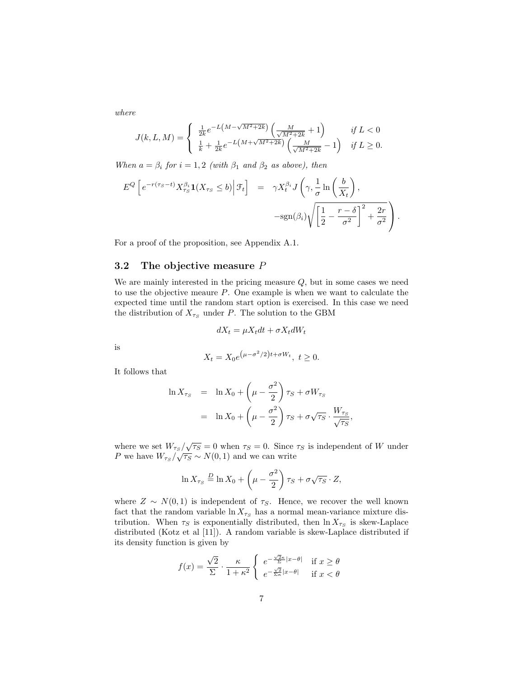where

$$
J(k, L, M) = \begin{cases} \frac{1}{2k} e^{-L(M - \sqrt{M^2 + 2k})} \left( \frac{M}{\sqrt{M^2 + 2k}} + 1 \right) & \text{if } L < 0 \\ \frac{1}{k} + \frac{1}{2k} e^{-L(M + \sqrt{M^2 + 2k})} \left( \frac{M}{\sqrt{M^2 + 2k}} - 1 \right) & \text{if } L \ge 0. \end{cases}
$$

When  $a = \beta_i$  for  $i = 1, 2$  (with  $\beta_1$  and  $\beta_2$  as above), then

$$
E^{Q}\left[e^{-r(\tau_{S}-t)}X_{\tau_{S}}^{\beta_{i}}\mathbf{1}(X_{\tau_{S}}\leq b)\Big|\mathcal{F}_{t}\right] = \gamma X_{t}^{\beta_{i}}J\left(\gamma,\frac{1}{\sigma}\ln\left(\frac{b}{X_{t}}\right), -\text{sgn}(\beta_{i})\sqrt{\left[\frac{1}{2}-\frac{r-\delta}{\sigma^{2}}\right]^{2}+\frac{2r}{\sigma^{2}}}\right).
$$

For a proof of the proposition, see Appendix A.1.

## 3.2 The objective measure  $P$

We are mainly interested in the pricing measure  $Q$ , but in some cases we need to use the objective meaure P. One example is when we want to calculate the expected time until the random start option is exercised. In this case we need the distribution of  $X_{\tau_S}$  under P. The solution to the GBM

$$
dX_t = \mu X_t dt + \sigma X_t dW_t
$$

is

$$
X_t = X_0 e^{(\mu - \sigma^2/2)t + \sigma W_t}, \ t \ge 0.
$$

It follows that

$$
\ln X_{\tau_S} = \ln X_0 + \left(\mu - \frac{\sigma^2}{2}\right) \tau_S + \sigma W_{\tau_S}
$$

$$
= \ln X_0 + \left(\mu - \frac{\sigma^2}{2}\right) \tau_S + \sigma \sqrt{\tau_S} \cdot \frac{W_{\tau_S}}{\sqrt{\tau_S}},
$$

where we set  $W_{\tau_S}/\sqrt{\tau_S} = 0$  when  $\tau_S = 0$ . Since  $\tau_S$  is independent of W under where we set  $W \frac{1}{\tau_S} / \sqrt{\frac{r_S}{\sqrt{r_S}}} = 0$  when  $\frac{1}{\tau_S} = 0$ . Since <br>*P* we have  $W_{\tau_S} / \sqrt{\tau_S} \sim N(0, 1)$  and we can write

$$
\ln X_{\tau_S} \stackrel{D}{=} \ln X_0 + \left(\mu - \frac{\sigma^2}{2}\right) \tau_S + \sigma \sqrt{\tau_S} \cdot Z,
$$

where  $Z \sim N(0, 1)$  is independent of  $\tau_S$ . Hence, we recover the well known fact that the random variable  $\ln X_{\tau_S}$  has a normal mean-variance mixture distribution. When  $\tau_S$  is exponentially distributed, then  $\ln X_{\tau_S}$  is skew-Laplace distributed (Kotz et al [11]). A random variable is skew-Laplace distributed if its density function is given by

$$
f(x) = \frac{\sqrt{2}}{\Sigma} \cdot \frac{\kappa}{1 + \kappa^2} \begin{cases} e^{-\frac{\sqrt{2}\kappa}{\Sigma}|x - \theta|} & \text{if } x \ge \theta \\ e^{-\frac{\sqrt{2}}{\Sigma\kappa}|x - \theta|} & \text{if } x < \theta \end{cases}
$$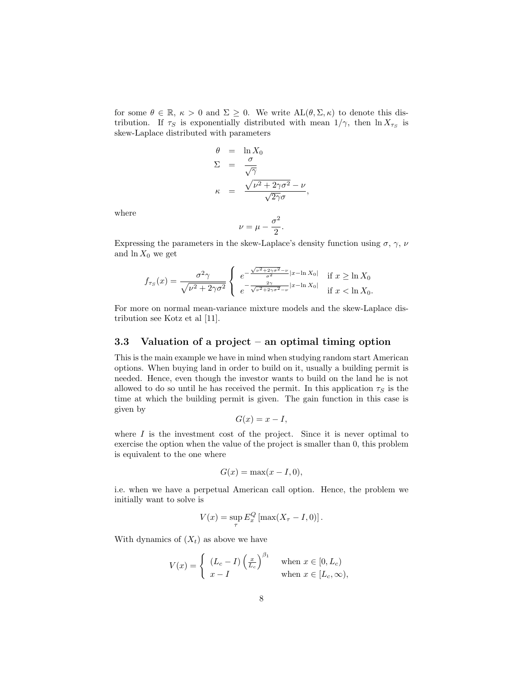for some  $\theta \in \mathbb{R}$ ,  $\kappa > 0$  and  $\Sigma \geq 0$ . We write  $AL(\theta, \Sigma, \kappa)$  to denote this distribution. If  $\tau_S$  is exponentially distributed with mean  $1/\gamma$ , then  $\ln X_{\tau_S}$  is skew-Laplace distributed with parameters

$$
\theta = \ln X_0
$$
  
\n
$$
\Sigma = \frac{\sigma}{\sqrt{\gamma}}
$$
  
\n
$$
\kappa = \frac{\sqrt{\nu^2 + 2\gamma\sigma^2} - \nu}{\sqrt{2\gamma}\sigma},
$$

where

$$
\nu = \mu - \frac{\sigma^2}{2}.
$$

Expressing the parameters in the skew-Laplace's density function using  $\sigma$ ,  $\gamma$ ,  $\nu$ and  $\ln X_0$  we get

$$
f_{\tau_S}(x) = \frac{\sigma^2 \gamma}{\sqrt{\nu^2 + 2\gamma \sigma^2}} \begin{cases} e^{-\frac{\sqrt{\nu^2 + 2\gamma \sigma^2} - \nu}{\sigma^2} |x - \ln X_0|} & \text{if } x \ge \ln X_0 \\ e^{-\frac{2\gamma}{\sqrt{\nu^2 + 2\gamma \sigma^2} - \nu} |x - \ln X_0|} & \text{if } x < \ln X_0. \end{cases}
$$

For more on normal mean-variance mixture models and the skew-Laplace distribution see Kotz et al [11].

#### 3.3 Valuation of a project – an optimal timing option

This is the main example we have in mind when studying random start American options. When buying land in order to build on it, usually a building permit is needed. Hence, even though the investor wants to build on the land he is not allowed to do so until he has received the permit. In this application  $\tau_S$  is the time at which the building permit is given. The gain function in this case is given by

$$
G(x) = x - I,
$$

where  $I$  is the investment cost of the project. Since it is never optimal to exercise the option when the value of the project is smaller than 0, this problem is equivalent to the one where

$$
G(x) = \max(x - I, 0),
$$

i.e. when we have a perpetual American call option. Hence, the problem we initially want to solve is

$$
V(x) = \sup_{\tau} E_x^Q \left[ \max(X_{\tau} - I, 0) \right].
$$

With dynamics of  $(X_t)$  as above we have

$$
V(x) = \begin{cases} (L_c - I) \left(\frac{x}{L_c}\right)^{\beta_1} & \text{when } x \in [0, L_c) \\ x - I & \text{when } x \in [L_c, \infty), \end{cases}
$$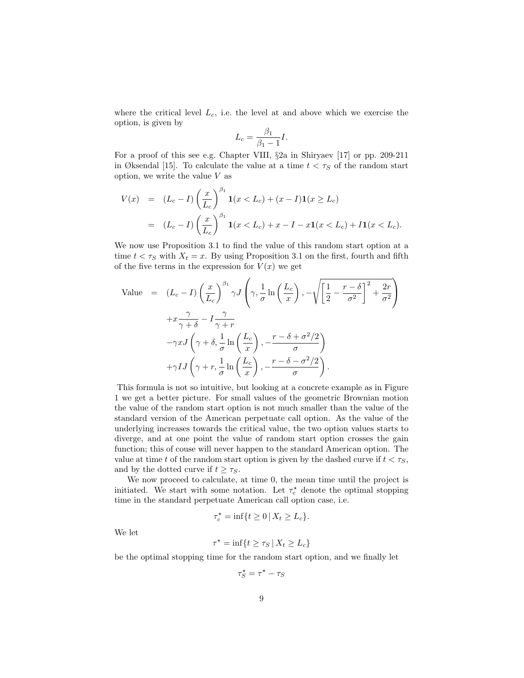where the critical level  $L_c$ , i.e. the level at and above which we exercise the option, is given by

$$
L_c = \frac{\beta_1}{\beta_1 - 1} I.
$$

For a proof of this see e.g. Chapter VIII, §2a in Shiryaev [17] or pp. 209-211 in Øksendal [15]. To calculate the value at a time  $t < \tau_S$  of the random start option, we write the value V as

$$
V(x) = (L_c - I) \left(\frac{x}{L_c}\right)^{\beta_1} \mathbf{1}(x < L_c) + (x - I) \mathbf{1}(x \ge L_c)
$$
  
=  $(L_c - I) \left(\frac{x}{L_c}\right)^{\beta_1} \mathbf{1}(x < L_c) + x - I - x \mathbf{1}(x < L_c) + I \mathbf{1}(x < L_c).$ 

We now use Proposition 3.1 to find the value of this random start option at a time  $t < \tau_S$  with  $X_t = x$ . By using Proposition 3.1 on the first, fourth and fifth of the five terms in the expression for  $V(x)$  we get

Value = 
$$
(L_c - I) \left(\frac{x}{L_c}\right)^{\beta_1} \gamma J \left(\gamma, \frac{1}{\sigma} \ln\left(\frac{L_c}{x}\right), -\sqrt{\left[\frac{1}{2} - \frac{r - \delta}{\sigma^2}\right]^2 + \frac{2r}{\sigma^2}}\right)
$$
  
  $+ x \frac{\gamma}{\gamma + \delta} - I \frac{\gamma}{\gamma + r}$   
  $- \gamma x J \left(\gamma + \delta, \frac{1}{\sigma} \ln\left(\frac{L_c}{x}\right), -\frac{r - \delta + \sigma^2/2}{\sigma}\right)$   
  $+ \gamma I J \left(\gamma + r, \frac{1}{\sigma} \ln\left(\frac{L_c}{x}\right), -\frac{r - \delta - \sigma^2/2}{\sigma}\right).$ 

This formula is not so intuitive, but looking at a concrete example as in Figure 1 we get a better picture. For small values of the geometric Brownian motion the value of the random start option is not much smaller than the value of the standard version of the American perpetuate call option. As the value of the underlying increases towards the critical value, the two option values starts to diverge, and at one point the value of random start option crosses the gain function; this of couse will never happen to the standard American option. The value at time t of the random start option is given by the dashed curve if  $t < \tau_s$ , and by the dotted curve if  $t \geq \tau_S$ .

We now proceed to calculate, at time 0, the mean time until the project is initiated. We start with some notation. Let  $\tau_c^{\star}$  denote the optimal stopping time in the standard perpetuate American call option case, i.e.

$$
\tau_c^* = \inf\{t \ge 0 \,|\, X_t \ge L_c\}.
$$

We let

$$
\tau^* = \inf\{t \ge \tau_S \,|\, X_t \ge L_c\}
$$

be the optimal stopping time for the random start option, and we finally let

$$
\tau_S^\star = \tau^\star - \tau_S
$$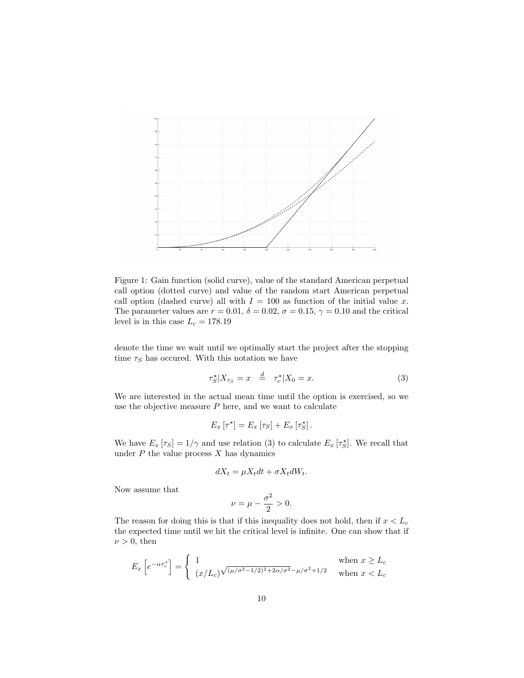

Figure 1: Gain function (solid curve), value of the standard American perpetual call option (dotted curve) and value of the random start American perpetual call option (dashed curve) all with  $I = 100$  as function of the initial value x. The parameter values are  $r = 0.01$ ,  $\delta = 0.02$ ,  $\sigma = 0.15$ ,  $\gamma = 0.10$  and the critical level is in this case  $L_c = 178.19$ 

denote the time we wait until we optimally start the project after the stopping time  $\tau_S$  has occured. With this notation we have

$$
\tau_S^* | X_{\tau_S} = x \stackrel{d}{=} \tau_c^* | X_0 = x. \tag{3}
$$

We are interested in the actual mean time until the option is exercised, so we use the objective measure  $P$  here, and we want to calculate

$$
E_x\left[\tau^{\star}\right] = E_x\left[\tau_S\right] + E_x\left[\tau_S^{\star}\right].
$$

We have  $E_x \left[ \tau_s \right] = 1/\gamma$  and use relation (3) to calculate  $E_x \left[ \tau_s^* \right]$ . We recall that under  $P$  the value process  $X$  has dynamics

$$
dX_t = \mu X_t dt + \sigma X_t dW_t.
$$

Now assume that

$$
\nu = \mu - \frac{\sigma^2}{2} > 0.
$$

The reason for doing this is that if this inequality does not hold, then if  $x < L_c$ the expected time until we hit the critical level is infinite. One can show that if  $\nu > 0$ , then

$$
E_x\left[e^{-\alpha \tau_c^*}\right] = \begin{cases} 1 & \text{when } x \ge L_c\\ \frac{(x/L_c)\sqrt{(\mu/\sigma^2 - 1/2)^2 + 2\alpha/\sigma^2} - \mu/\sigma^2 + 1/2} & \text{when } x < L_c \end{cases}
$$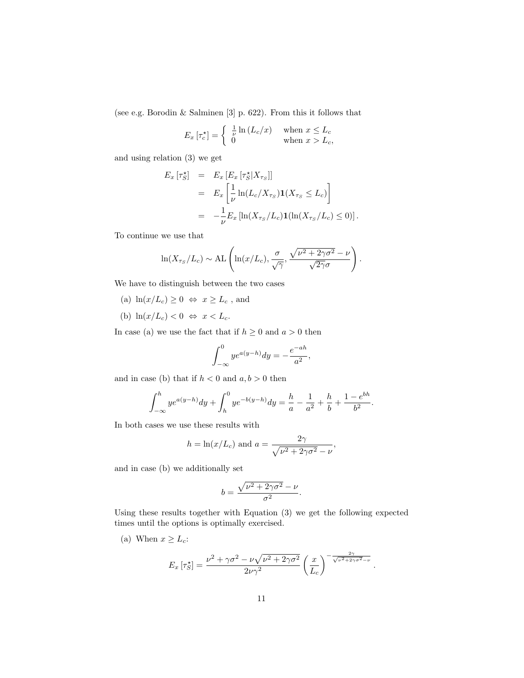(see e.g. Borodin & Salminen [3] p. 622). From this it follows that

$$
E_x\left[\tau_c^{\star}\right] = \begin{cases} \frac{1}{\nu}\ln\left(L_c/x\right) & \text{when } x \le L_c\\ 0 & \text{when } x > L_c, \end{cases}
$$

and using relation (3) we get

$$
E_x \left[ \tau_S^* \right] = E_x \left[ E_x \left[ \tau_S^* | X_{\tau_S} \right] \right]
$$
  
\n
$$
= E_x \left[ \frac{1}{\nu} \ln(L_c / X_{\tau_S}) \mathbf{1}(X_{\tau_S} \le L_c) \right]
$$
  
\n
$$
= -\frac{1}{\nu} E_x \left[ \ln(X_{\tau_S} / L_c) \mathbf{1}(\ln(X_{\tau_S} / L_c) \le 0) \right].
$$

To continue we use that

$$
\ln(X_{\tau_S}/L_c) \sim \mathrm{AL}\left(\ln(x/L_c), \frac{\sigma}{\sqrt{\gamma}}, \frac{\sqrt{\nu^2 + 2\gamma\sigma^2} - \nu}{\sqrt{2\gamma}\sigma}\right).
$$

We have to distinguish between the two cases

- (a)  $\ln(x/L_c) \ge 0 \Leftrightarrow x \ge L_c$ , and
- (b)  $\ln(x/L_c) < 0 \Leftrightarrow x < L_c$ .

In case (a) we use the fact that if  $h \geq 0$  and  $a > 0$  then

$$
\int_{-\infty}^{0} ye^{a(y-h)} dy = -\frac{e^{-ah}}{a^2},
$$

and in case (b) that if  $h < 0$  and  $a, b > 0$  then

$$
\int_{-\infty}^{h} ye^{a(y-h)} dy + \int_{h}^{0} ye^{-b(y-h)} dy = \frac{h}{a} - \frac{1}{a^2} + \frac{h}{b} + \frac{1 - e^{bh}}{b^2}.
$$

In both cases we use these results with

$$
h = \ln(x/L_c) \text{ and } a = \frac{2\gamma}{\sqrt{\nu^2 + 2\gamma\sigma^2} - \nu},
$$

 $\sim$ 

.

and in case (b) we additionally set

$$
b = \frac{\sqrt{\nu^2 + 2\gamma\sigma^2} - \nu}{\sigma^2}.
$$

Using these results together with Equation (3) we get the following expected times until the options is optimally exercised.

(a) When  $x \geq L_c$ :

$$
E_x \left[ \tau_S^{\star} \right] = \frac{\nu^2 + \gamma \sigma^2 - \nu \sqrt{\nu^2 + 2\gamma \sigma^2}}{2\nu \gamma^2} \left( \frac{x}{L_c} \right)^{-\frac{2\gamma}{\sqrt{\nu^2 + 2\gamma \sigma^2 - \nu^2}}}.
$$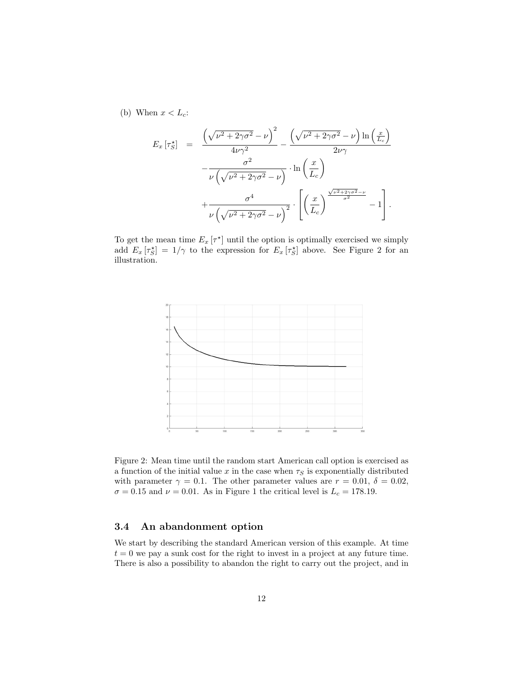(b) When  $x < L_c$ :

$$
E_x \left[ \tau_S^{\star} \right] = \frac{\left( \sqrt{\nu^2 + 2\gamma \sigma^2} - \nu \right)^2}{4\nu \gamma^2} - \frac{\left( \sqrt{\nu^2 + 2\gamma \sigma^2} - \nu \right) \ln \left( \frac{x}{L_c} \right)}{2\nu \gamma} - \frac{\sigma^2}{\nu \left( \sqrt{\nu^2 + 2\gamma \sigma^2} - \nu \right)} \cdot \ln \left( \frac{x}{L_c} \right) + \frac{\sigma^4}{\nu \left( \sqrt{\nu^2 + 2\gamma \sigma^2} - \nu \right)^2} \cdot \left[ \left( \frac{x}{L_c} \right)^{\frac{\sqrt{\nu^2 + 2\gamma \sigma^2} - \nu}{\sigma^2}} - 1 \right].
$$

To get the mean time  $E_x[\tau^*]$  until the option is optimally exercised we simply add  $E_x \left[ \tau_S^{\star} \right] = 1/\gamma$  to the expression for  $E_x \left[ \tau_S^{\star} \right]$  above. See Figure 2 for an illustration.



Figure 2: Mean time until the random start American call option is exercised as a function of the initial value x in the case when  $\tau_S$  is exponentially distributed with parameter  $\gamma = 0.1$ . The other parameter values are  $r = 0.01, \delta = 0.02$ ,  $\sigma = 0.15$  and  $\nu = 0.01$ . As in Figure 1 the critical level is  $L_c = 178.19$ .

## 3.4 An abandonment option

We start by describing the standard American version of this example. At time  $t = 0$  we pay a sunk cost for the right to invest in a project at any future time. There is also a possibility to abandon the right to carry out the project, and in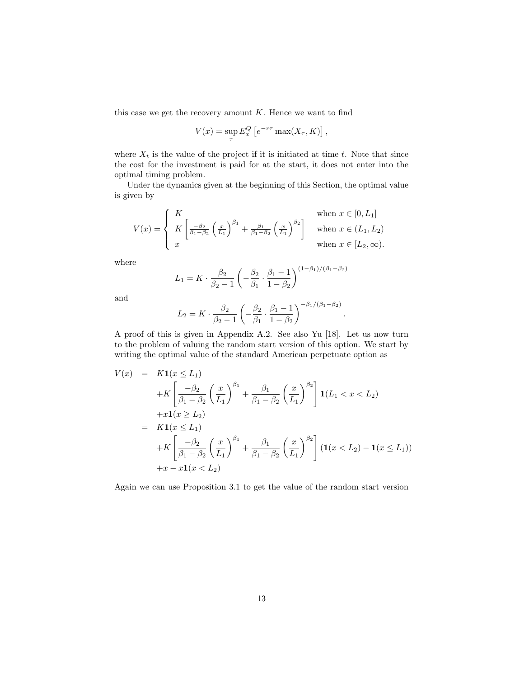this case we get the recovery amount  $K$ . Hence we want to find

$$
V(x) = \sup_{\tau} E_x^Q \left[ e^{-r\tau} \max(X_{\tau}, K) \right]
$$

,

.

where  $X_t$  is the value of the project if it is initiated at time t. Note that since the cost for the investment is paid for at the start, it does not enter into the optimal timing problem.

Under the dynamics given at the beginning of this Section, the optimal value is given by

$$
V(x) = \begin{cases} K & \text{when } x \in [0, L_1] \\ K \left[ \frac{-\beta_2}{\beta_1 - \beta_2} \left( \frac{x}{L_1} \right)^{\beta_1} + \frac{\beta_1}{\beta_1 - \beta_2} \left( \frac{x}{L_1} \right)^{\beta_2} \right] & \text{when } x \in (L_1, L_2) \\ x & \text{when } x \in [L_2, \infty). \end{cases}
$$

where

$$
L_1 = K \cdot \frac{\beta_2}{\beta_2 - 1} \left( -\frac{\beta_2}{\beta_1} \cdot \frac{\beta_1 - 1}{1 - \beta_2} \right)^{(1 - \beta_1) / (\beta_1 - \beta_2)}
$$

and

$$
L_2 = K \cdot \frac{\beta_2}{\beta_2 - 1} \left( -\frac{\beta_2}{\beta_1} \cdot \frac{\beta_1 - 1}{1 - \beta_2} \right)^{-\beta_1/(\beta_1 - \beta_2)}
$$

A proof of this is given in Appendix A.2. See also Yu [18]. Let us now turn to the problem of valuing the random start version of this option. We start by writing the optimal value of the standard American perpetuate option as

$$
V(x) = K1(x \le L_1)
$$
  
+K $\left[\frac{-\beta_2}{\beta_1 - \beta_2} \left(\frac{x}{L_1}\right)^{\beta_1} + \frac{\beta_1}{\beta_1 - \beta_2} \left(\frac{x}{L_1}\right)^{\beta_2}\right]1(L_1 < x < L_2)$   
+x1(x \ge L\_2)  
= K1(x \le L\_1)  
+K $\left[\frac{-\beta_2}{\beta_1 - \beta_2} \left(\frac{x}{L_1}\right)^{\beta_1} + \frac{\beta_1}{\beta_1 - \beta_2} \left(\frac{x}{L_1}\right)^{\beta_2}\right] (1(x < L_2) - 1(x \le L_1))$   
+x - x1(x < L\_2)

Again we can use Proposition 3.1 to get the value of the random start version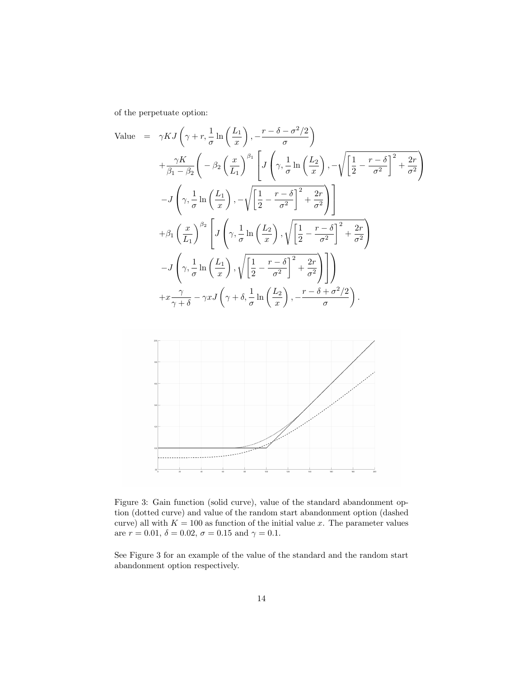of the perpetuate option:

Value = 
$$
\gamma K J \left( \gamma + r, \frac{1}{\sigma} \ln \left( \frac{L_1}{x} \right), -\frac{r - \delta - \sigma^2/2}{\sigma} \right)
$$
  
\n $+ \frac{\gamma K}{\beta_1 - \beta_2} \left( -\beta_2 \left( \frac{x}{L_1} \right)^{\beta_1} \left[ J \left( \gamma, \frac{1}{\sigma} \ln \left( \frac{L_2}{x} \right), -\sqrt{\left[ \frac{1}{2} - \frac{r - \delta}{\sigma^2} \right]^2 + \frac{2r}{\sigma^2}} \right) \right]$   
\n $- J \left( \gamma, \frac{1}{\sigma} \ln \left( \frac{L_1}{x} \right), -\sqrt{\left[ \frac{1}{2} - \frac{r - \delta}{\sigma^2} \right]^2 + \frac{2r}{\sigma^2}} \right) \right]$   
\n $+ \beta_1 \left( \frac{x}{L_1} \right)^{\beta_2} \left[ J \left( \gamma, \frac{1}{\sigma} \ln \left( \frac{L_2}{x} \right), \sqrt{\left[ \frac{1}{2} - \frac{r - \delta}{\sigma^2} \right]^2 + \frac{2r}{\sigma^2}} \right) \right]$   
\n $- J \left( \gamma, \frac{1}{\sigma} \ln \left( \frac{L_1}{x} \right), \sqrt{\left[ \frac{1}{2} - \frac{r - \delta}{\sigma^2} \right]^2 + \frac{2r}{\sigma^2}} \right) \right)$   
\n $+ x \frac{\gamma}{\gamma + \delta} - \gamma x J \left( \gamma + \delta, \frac{1}{\sigma} \ln \left( \frac{L_2}{x} \right), -\frac{r - \delta + \sigma^2/2}{\sigma^2} \right).$ 



Figure 3: Gain function (solid curve), value of the standard abandonment option (dotted curve) and value of the random start abandonment option (dashed curve) all with  $K = 100$  as function of the initial value x. The parameter values are  $r = 0.01, \delta = 0.02, \sigma = 0.15$  and  $\gamma = 0.1$ .

See Figure 3 for an example of the value of the standard and the random start abandonment option respectively.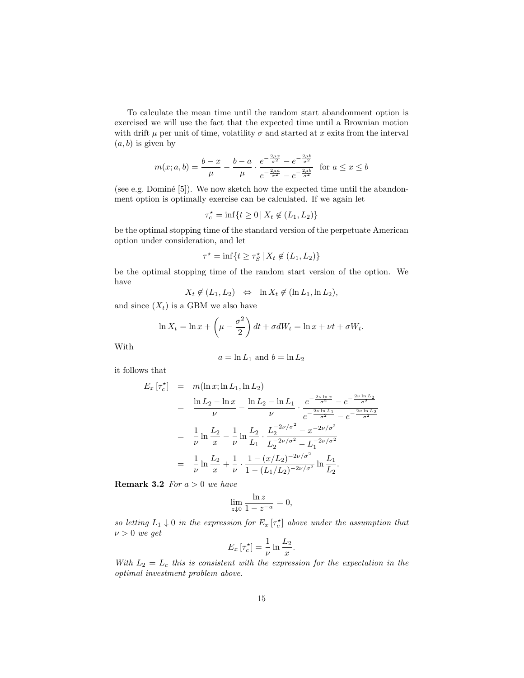To calculate the mean time until the random start abandonment option is exercised we will use the fact that the expected time until a Brownian motion with drift  $\mu$  per unit of time, volatility  $\sigma$  and started at x exits from the interval  $(a, b)$  is given by

$$
m(x;a,b) = \frac{b-x}{\mu} - \frac{b-a}{\mu} \cdot \frac{e^{-\frac{2\mu x}{\sigma^2}} - e^{-\frac{2\mu b}{\sigma^2}}}{e^{-\frac{2\mu a}{\sigma^2}} - e^{-\frac{2\mu b}{\sigma^2}}} \text{ for } a \le x \le b
$$

(see e.g. Dominé  $[5]$ ). We now sketch how the expected time until the abandonment option is optimally exercise can be calculated. If we again let

$$
\tau_c^* = \inf\{t \ge 0 \,|\, X_t \not\in (L_1, L_2)\}
$$

be the optimal stopping time of the standard version of the perpetuate American option under consideration, and let

$$
\tau^* = \inf\{t \ge \tau_S^* \,|\, X_t \not\in (L_1, L_2)\}
$$

be the optimal stopping time of the random start version of the option. We have

$$
X_t \notin (L_1, L_2) \iff \ln X_t \notin (\ln L_1, \ln L_2),
$$

and since  $(X_t)$  is a GBM we also have

$$
\ln X_t = \ln x + \left(\mu - \frac{\sigma^2}{2}\right)dt + \sigma dW_t = \ln x + \nu t + \sigma W_t.
$$

With

$$
a=\ln L_1 \text{ and } b=\ln L_2
$$

it follows that

$$
E_x \left[ \tau_c^{\star} \right] = m(\ln x; \ln L_1, \ln L_2)
$$
  
\n
$$
= \frac{\ln L_2 - \ln x}{\nu} - \frac{\ln L_2 - \ln L_1}{\nu} \cdot \frac{e^{-\frac{2\nu \ln x}{\sigma^2}} - e^{-\frac{2\nu \ln L_2}{\sigma^2}}}{e^{-\frac{2\nu \ln L_1}{\sigma^2}} - e^{-\frac{2\nu \ln L_2}{\sigma^2}}}
$$
  
\n
$$
= \frac{1}{\nu} \ln \frac{L_2}{x} - \frac{1}{\nu} \ln \frac{L_2}{L_1} \cdot \frac{L_2^{-2\nu/\sigma^2} - x^{-2\nu/\sigma^2}}{L_2^{-2\nu/\sigma^2} - L_1^{-2\nu/\sigma^2}}
$$
  
\n
$$
= \frac{1}{\nu} \ln \frac{L_2}{x} + \frac{1}{\nu} \cdot \frac{1 - (x/L_2)^{-2\nu/\sigma^2}}{1 - (L_1/L_2)^{-2\nu/\sigma^2}} \ln \frac{L_1}{L_2}.
$$

**Remark 3.2** For  $a > 0$  we have

$$
\lim_{z \downarrow 0} \frac{\ln z}{1 - z^{-a}} = 0,
$$

so letting  $L_1 \downarrow 0$  in the expression for  $E_x[\tau_c^{\star}]$  above under the assumption that  $\nu > 0$  we get

$$
E_x\left[\tau_c^{\star}\right] = \frac{1}{\nu}\ln\frac{L_2}{x}.
$$

With  $L_2 = L_c$  this is consistent with the expression for the expectation in the optimal investment problem above.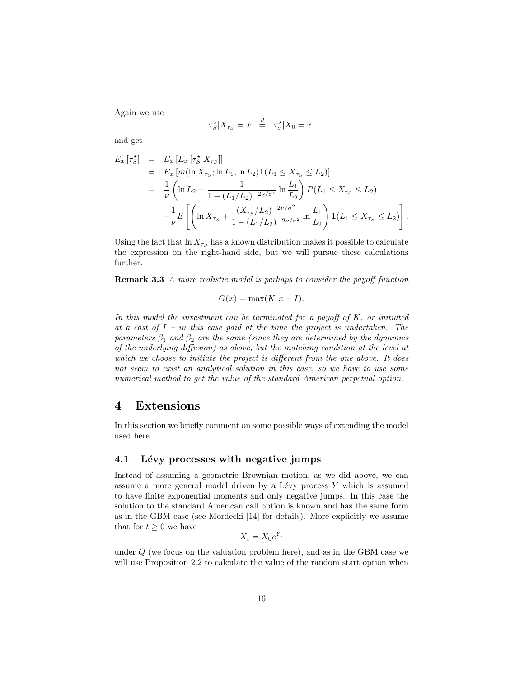Again we use

$$
\tau_S^{\star}|X_{\tau_S} = x \quad \stackrel{d}{=} \quad \tau_c^{\star}|X_0 = x,
$$

and get

$$
E_x \left[ \tau_S^{\star} \right] = E_x \left[ E_x \left[ \tau_S^{\star} | X_{\tau_S} \right] \right]
$$
  
\n
$$
= E_x \left[ m (\ln X_{\tau_S}; \ln L_1, \ln L_2) \mathbf{1} (L_1 \le X_{\tau_S} \le L_2) \right]
$$
  
\n
$$
= \frac{1}{\nu} \left( \ln L_2 + \frac{1}{1 - (L_1/L_2)^{-2\nu/\sigma^2}} \ln \frac{L_1}{L_2} \right) P(L_1 \le X_{\tau_S} \le L_2)
$$
  
\n
$$
- \frac{1}{\nu} E \left[ \left( \ln X_{\tau_S} + \frac{(X_{\tau_S}/L_2)^{-2\nu/\sigma^2}}{1 - (L_1/L_2)^{-2\nu/\sigma^2}} \ln \frac{L_1}{L_2} \right) \mathbf{1} (L_1 \le X_{\tau_S} \le L_2) \right].
$$

Using the fact that  $\ln X_{\tau_S}$  has a known distribution makes it possible to calculate the expression on the right-hand side, but we will pursue these calculations further.

Remark 3.3 A more realistic model is perhaps to consider the payoff function

$$
G(x) = \max(K, x - I).
$$

In this model the investment can be terminated for a payoff of  $K$ , or initiated at a cost of  $I$  – in this case paid at the time the project is undertaken. The parameters  $\beta_1$  and  $\beta_2$  are the same (since they are determined by the dynamics of the underlying diffusion) as above, but the matching condition at the level at which we choose to initiate the project is different from the one above. It does not seem to exist an analytical solution in this case, so we have to use some numerical method to get the value of the standard American perpetual option.

## 4 Extensions

In this section we briefly comment on some possible ways of extending the model used here.

### 4.1 Lévy processes with negative jumps

Instead of assuming a geometric Brownian motion, as we did above, we can assume a more general model driven by a Lévy process  $Y$  which is assumed to have finite exponential moments and only negative jumps. In this case the solution to the standard American call option is known and has the same form as in the GBM case (see Mordecki [14] for details). More explicitly we assume that for  $t \geq 0$  we have

$$
X_t = X_0 e^{Y_t}
$$

under  $Q$  (we focus on the valuation problem here), and as in the GBM case we will use Proposition 2.2 to calculate the value of the random start option when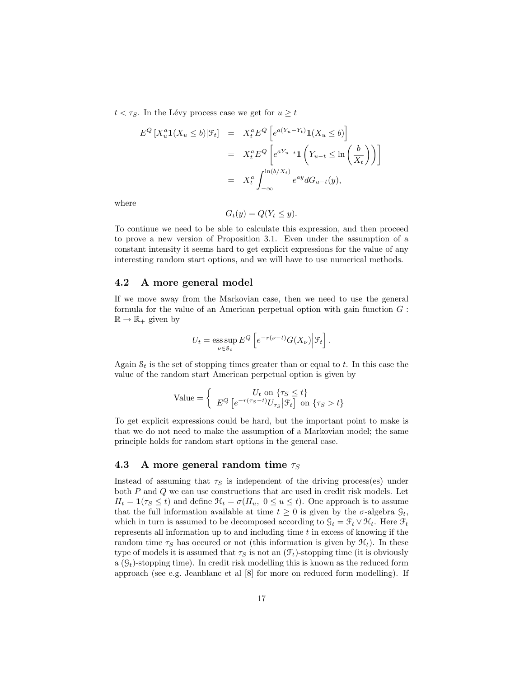$t < \tau_S$ . In the Lévy process case we get for  $u \geq t$ 

$$
E^{Q}[X_{u}^{a}\mathbf{1}(X_{u}\leq b)|\mathcal{F}_{t}] = X_{t}^{a} E^{Q}[e^{a(Y_{u}-Y_{t})}\mathbf{1}(X_{u}\leq b)]
$$
  

$$
= X_{t}^{a} E^{Q}[e^{aY_{u-t}}\mathbf{1}(Y_{u-t}\leq \ln\left(\frac{b}{X_{t}}\right))]
$$
  

$$
= X_{t}^{a} \int_{-\infty}^{\ln(b/X_{t})} e^{ay} dG_{u-t}(y),
$$

where

$$
G_t(y) = Q(Y_t \le y).
$$

To continue we need to be able to calculate this expression, and then proceed to prove a new version of Proposition 3.1. Even under the assumption of a constant intensity it seems hard to get explicit expressions for the value of any interesting random start options, and we will have to use numerical methods.

#### 4.2 A more general model

If we move away from the Markovian case, then we need to use the general formula for the value of an American perpetual option with gain function  $G$ :  $\mathbb{R} \to \mathbb{R}_+$  given by

$$
U_t = \operatorname*{ess\,sup}_{\nu \in \mathcal{S}_t} E^Q \left[ e^{-r(\nu - t)} G(X_\nu) \Big| \mathcal{F}_t \right].
$$

Again  $S_t$  is the set of stopping times greater than or equal to t. In this case the value of the random start American perpetual option is given by

$$
\text{Value} = \begin{cases} & U_t \text{ on } \{ \tau_S \le t \} \\ & E^Q \left[ e^{-r(\tau_S - t)} U_{\tau_S} \middle| \mathcal{F}_t \right] \text{ on } \{ \tau_S > t \} \end{cases}
$$

To get explicit expressions could be hard, but the important point to make is that we do not need to make the assumption of a Markovian model; the same principle holds for random start options in the general case.

#### 4.3 A more general random time  $\tau_S$

Instead of assuming that  $\tau_s$  is independent of the driving process(es) under both P and Q we can use constructions that are used in credit risk models. Let  $H_t = \mathbf{1}(\tau_s \le t)$  and define  $\mathcal{H}_t = \sigma(H_u, 0 \le u \le t)$ . One approach is to assume that the full information available at time  $t \geq 0$  is given by the  $\sigma$ -algebra  $\mathcal{G}_t$ , which in turn is assumed to be decomposed according to  $\mathcal{G}_t = \mathcal{F}_t \vee \mathcal{H}_t$ . Here  $\mathcal{F}_t$ represents all information up to and including time  $t$  in excess of knowing if the random time  $\tau_S$  has occured or not (this information is given by  $\mathcal{H}_t$ ). In these type of models it is assumed that  $\tau_S$  is not an  $(\mathcal{F}_t)$ -stopping time (it is obviously a  $(\mathcal{G}_t)$ -stopping time). In credit risk modelling this is known as the reduced form approach (see e.g. Jeanblanc et al [8] for more on reduced form modelling). If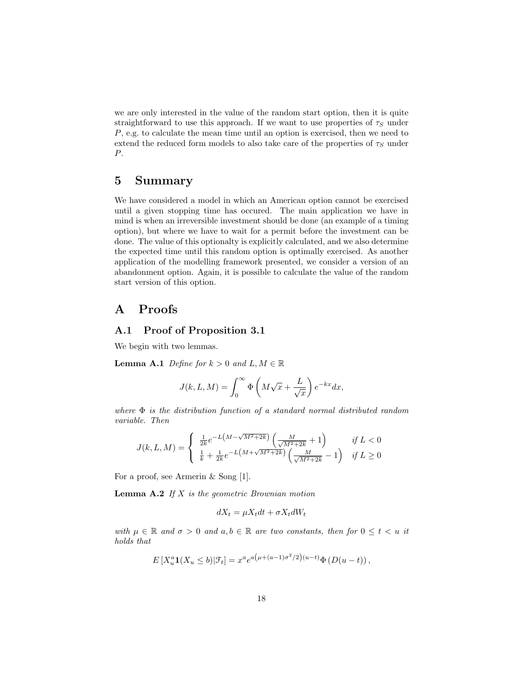we are only interested in the value of the random start option, then it is quite straightforward to use this approach. If we want to use properties of  $\tau<sub>S</sub>$  under P, e.g. to calculate the mean time until an option is exercised, then we need to extend the reduced form models to also take care of the properties of  $\tau_S$  under P.

# 5 Summary

We have considered a model in which an American option cannot be exercised until a given stopping time has occured. The main application we have in mind is when an irreversible investment should be done (an example of a timing option), but where we have to wait for a permit before the investment can be done. The value of this optionalty is explicitly calculated, and we also determine the expected time until this random option is optimally exercised. As another application of the modelling framework presented, we consider a version of an abandonment option. Again, it is possible to calculate the value of the random start version of this option.

# A Proofs

## A.1 Proof of Proposition 3.1

We begin with two lemmas.

**Lemma A.1** Define for  $k > 0$  and  $L, M \in \mathbb{R}$ 

$$
J(k, L, M) = \int_0^\infty \Phi\left(M\sqrt{x} + \frac{L}{\sqrt{x}}\right) e^{-kx} dx,
$$

where  $\Phi$  is the distribution function of a standard normal distributed random variable. Then

$$
J(k, L, M) = \begin{cases} \frac{1}{2k} e^{-L(M - \sqrt{M^2 + 2k})} \left( \frac{M}{\sqrt{M^2 + 2k}} + 1 \right) & \text{if } L < 0 \\ \frac{1}{k} + \frac{1}{2k} e^{-L(M + \sqrt{M^2 + 2k})} \left( \frac{M}{\sqrt{M^2 + 2k}} - 1 \right) & \text{if } L \ge 0 \end{cases}
$$

For a proof, see Armerin & Song [1].

**Lemma A.2** If  $X$  is the geometric Brownian motion

$$
dX_t = \mu X_t dt + \sigma X_t dW_t
$$

with  $\mu \in \mathbb{R}$  and  $\sigma > 0$  and  $a, b \in \mathbb{R}$  are two constants, then for  $0 \leq t < u$  it holds that

$$
E[X_u^a \mathbf{1}(X_u \le b) | \mathcal{F}_t] = x^a e^{a(\mu + (a-1)\sigma^2/2)(u-t)} \Phi(D(u-t)),
$$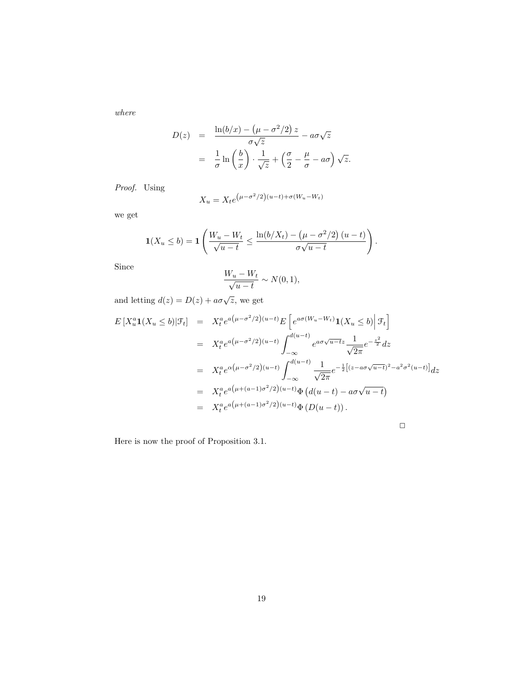where

$$
D(z) = \frac{\ln(b/x) - (\mu - \sigma^2/2) z}{\sigma \sqrt{z}} - a\sigma \sqrt{z}
$$
  
= 
$$
\frac{1}{\sigma} \ln\left(\frac{b}{x}\right) \cdot \frac{1}{\sqrt{z}} + \left(\frac{\sigma}{2} - \frac{\mu}{\sigma} - a\sigma\right) \sqrt{z}.
$$

Proof. Using

$$
X_u = X_t e^{(\mu - \sigma^2/2)(u - t) + \sigma(W_u - W_t)}
$$

we get

$$
\mathbf{1}(X_u \leq b) = \mathbf{1}\left(\frac{W_u - W_t}{\sqrt{u-t}} \leq \frac{\ln(b/X_t) - (\mu - \sigma^2/2)(u-t)}{\sigma\sqrt{u-t}}\right).
$$

Since

$$
\frac{W_u - W_t}{\sqrt{u - t}} \sim N(0, 1),
$$

and letting  $d(z) = D(z) + a\sigma\sqrt{z}$ , we get

$$
E[X_u^a \mathbf{1}(X_u \le b) | \mathcal{F}_t] = X_t^a e^{a(\mu - \sigma^2/2)(u - t)} E\left[e^{a\sigma(W_u - W_t)} \mathbf{1}(X_u \le b) | \mathcal{F}_t\right]
$$
  
\n
$$
= X_t^a e^{a(\mu - \sigma^2/2)(u - t)} \int_{-\infty}^{d(u - t)} e^{a\sigma\sqrt{u - t}z} \frac{1}{\sqrt{2\pi}} e^{-\frac{z^2}{2}} dz
$$
  
\n
$$
= X_t^a e^{\alpha(\mu - \sigma^2/2)(u - t)} \int_{-\infty}^{d(u - t)} \frac{1}{\sqrt{2\pi}} e^{-\frac{1}{2}[(z - a\sigma\sqrt{u - t})^2 - a^2\sigma^2(u - t)]} dz
$$
  
\n
$$
= X_t^a e^{a(\mu + (a - 1)\sigma^2/2)(u - t)} \Phi\left(d(u - t) - a\sigma\sqrt{u - t}\right)
$$
  
\n
$$
= X_t^a e^{a(\mu + (a - 1)\sigma^2/2)(u - t)} \Phi(D(u - t)).
$$

 $\Box$ 

Here is now the proof of Proposition 3.1.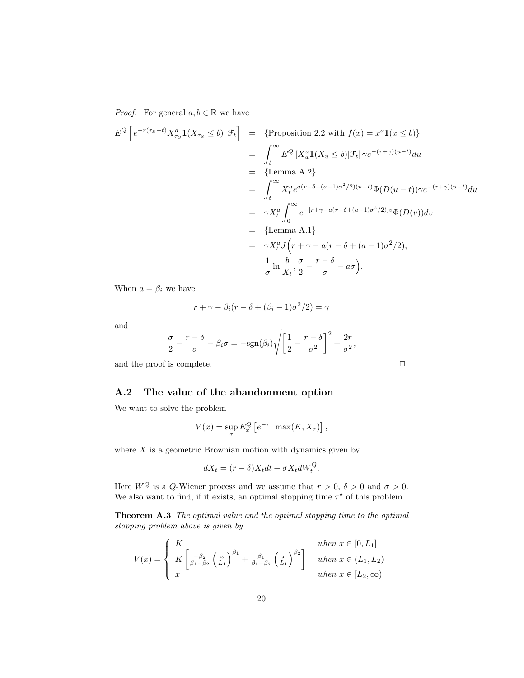*Proof.* For general  $a, b \in \mathbb{R}$  we have

$$
E^{Q}\left[e^{-r(r_{S}-t)}X_{\tau_{S}}^{a}\mathbf{1}(X_{\tau_{S}}\leq b)\Big|\mathcal{F}_{t}\right] = \left\{\text{Proposition 2.2 with } f(x) = x^{a}\mathbf{1}(x\leq b)\right\}
$$

$$
= \int_{t}^{\infty} E^{Q}\left[X_{u}^{a}\mathbf{1}(X_{u}\leq b)|\mathcal{F}_{t}\right]\gamma e^{-(r+\gamma)(u-t)}du
$$

$$
= \left\{\text{Lemma A.2}\right\}
$$

$$
= \int_{t}^{\infty} X_{t}^{a} e^{a(r-\delta+(a-1)\sigma^{2}/2)(u-t)}\Phi(D(u-t))\gamma e^{-(r+\gamma)(u-t)}du
$$

$$
= \gamma X_{t}^{a} \int_{0}^{\infty} e^{-[r+\gamma-a(r-\delta+(a-1)\sigma^{2}/2)]v}\Phi(D(v))dv
$$

$$
= \left\{\text{Lemma A.1}\right\}
$$

$$
= \gamma X_{t}^{a} J\left(r+\gamma-a(r-\delta+(a-1)\sigma^{2}/2),\frac{1}{\sigma}\ln\frac{b}{X_{t}}, \frac{\sigma}{2} - \frac{r-\delta}{\sigma} - a\sigma\right).
$$

When  $a=\beta_i$  we have

$$
r + \gamma - \beta_i (r - \delta + (\beta_i - 1)\sigma^2 / 2) = \gamma
$$

and

$$
\frac{\sigma}{2} - \frac{r - \delta}{\sigma} - \beta_i \sigma = -\text{sgn}(\beta_i) \sqrt{\left[\frac{1}{2} - \frac{r - \delta}{\sigma^2}\right]^2 + \frac{2r}{\sigma^2}},
$$

and the proof is complete.  $\Box$ 

## A.2 The value of the abandonment option

We want to solve the problem

$$
V(x) = \sup_{\tau} E_x^Q \left[ e^{-r\tau} \max(K, X_{\tau}) \right],
$$

where  $X$  is a geometric Brownian motion with dynamics given by

$$
dX_t = (r - \delta)X_t dt + \sigma X_t dW_t^Q.
$$

Here  $W^Q$  is a Q-Wiener process and we assume that  $r > 0$ ,  $\delta > 0$  and  $\sigma > 0$ . We also want to find, if it exists, an optimal stopping time  $\tau^*$  of this problem.

Theorem A.3 The optimal value and the optimal stopping time to the optimal stopping problem above is given by

$$
V(x) = \begin{cases} K & \text{when } x \in [0, L_1] \\ K \left[ \frac{-\beta_2}{\beta_1 - \beta_2} \left( \frac{x}{L_1} \right)^{\beta_1} + \frac{\beta_1}{\beta_1 - \beta_2} \left( \frac{x}{L_1} \right)^{\beta_2} \right] & \text{when } x \in (L_1, L_2) \\ x & \text{when } x \in [L_2, \infty) \end{cases}
$$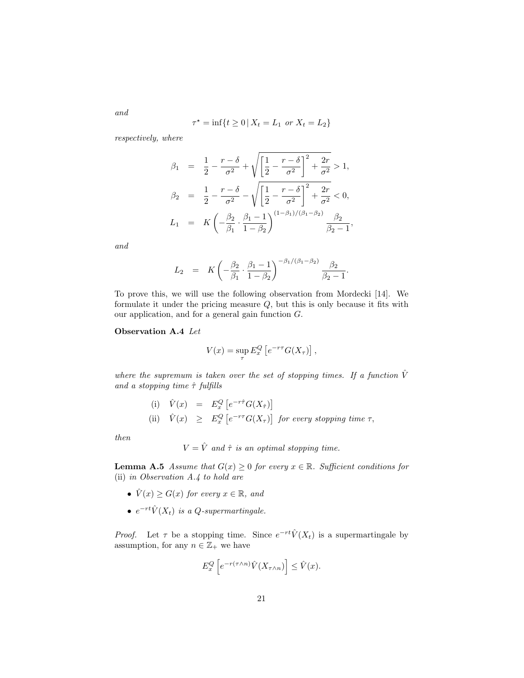$$
\tau^* = \inf\{t \ge 0 \,|\, X_t = L_1 \text{ or } X_t = L_2\}
$$

respectively, where

$$
\beta_1 = \frac{1}{2} - \frac{r - \delta}{\sigma^2} + \sqrt{\left[\frac{1}{2} - \frac{r - \delta}{\sigma^2}\right]^2 + \frac{2r}{\sigma^2}} > 1,
$$
  
\n
$$
\beta_2 = \frac{1}{2} - \frac{r - \delta}{\sigma^2} - \sqrt{\left[\frac{1}{2} - \frac{r - \delta}{\sigma^2}\right]^2 + \frac{2r}{\sigma^2}} < 0,
$$
  
\n
$$
L_1 = K\left(-\frac{\beta_2}{\beta_1} \cdot \frac{\beta_1 - 1}{1 - \beta_2}\right)^{(1 - \beta_1)/(\beta_1 - \beta_2)} \frac{\beta_2}{\beta_2 - 1},
$$

and

$$
L_2 = K \left( -\frac{\beta_2}{\beta_1} \cdot \frac{\beta_1 - 1}{1 - \beta_2} \right)^{-\beta_1/(\beta_1 - \beta_2)} \frac{\beta_2}{\beta_2 - 1}.
$$

To prove this, we will use the following observation from Mordecki [14]. We formulate it under the pricing measure Q, but this is only because it fits with our application, and for a general gain function G.

#### Observation A.4 Let

$$
V(x) = \sup_{\tau} E_x^Q \left[ e^{-r\tau} G(X_\tau) \right],
$$

where the supremum is taken over the set of stopping times. If a function  $\hat{V}$ and a stopping time  $\hat{\tau}$  fulfills

> (i)  $\hat{V}(x) = E_x^Q \left[ e^{-r\hat{\tau}} G(X_{\hat{\tau}}) \right]$ (ii)  $\hat{V}(x) \geq E_x^Q \left[ e^{-r\tau} G(X_\tau) \right]$  for every stopping time  $\tau$ ,

then

$$
V = \hat{V}
$$
 and  $\hat{\tau}$  is an optimal stopping time.

**Lemma A.5** Assume that  $G(x) \geq 0$  for every  $x \in \mathbb{R}$ . Sufficient conditions for (ii) in Observation A.4 to hold are

- $\hat{V}(x) \ge G(x)$  for every  $x \in \mathbb{R}$ , and
- $e^{-rt}\hat{V}(X_t)$  is a Q-supermartingale.

*Proof.* Let  $\tau$  be a stopping time. Since  $e^{-rt}\hat{V}(X_t)$  is a supermartingale by assumption, for any  $n \in \mathbb{Z}_+$  we have

$$
E_x^Q\left[e^{-r(\tau\wedge n)}\hat{V}(X_{\tau\wedge n})\right] \leq \hat{V}(x).
$$

and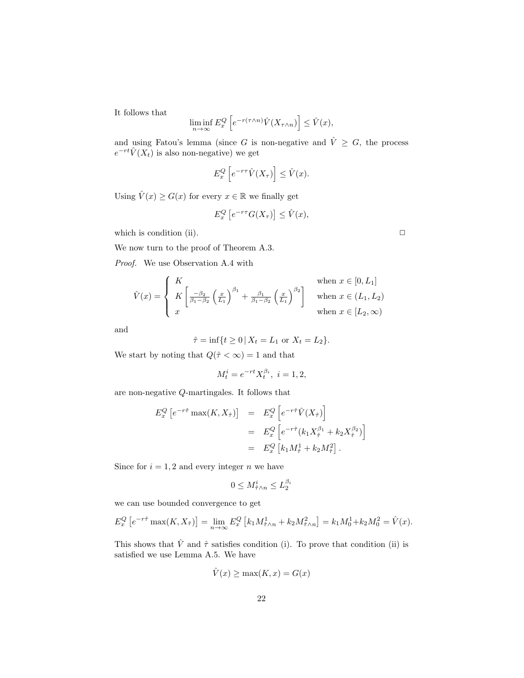It follows that

$$
\liminf_{n \to \infty} E_x^Q \left[ e^{-r(\tau \wedge n)} \hat{V}(X_{\tau \wedge n}) \right] \le \hat{V}(x),
$$

and using Fatou's lemma (since G is non-negative and  $\hat{V} \geq G$ , the process  $e^{-rt}\hat{V}(X_t)$  is also non-negative) we get

$$
E_x^Q\left[e^{-r\tau}\hat{V}(X_\tau)\right] \leq \hat{V}(x).
$$

Using  $\hat{V}(x) \ge G(x)$  for every  $x \in \mathbb{R}$  we finally get

$$
E_x^Q\left[e^{-r\tau}G(X_\tau)\right] \leq \hat{V}(x),
$$

which is condition (ii).  $\Box$ 

We now turn to the proof of Theorem A.3.

Proof. We use Observation A.4 with

$$
\hat{V}(x) = \begin{cases}\nK & \text{when } x \in [0, L_1] \\
K \left[ \frac{-\beta_2}{\beta_1 - \beta_2} \left( \frac{x}{L_1} \right)^{\beta_1} + \frac{\beta_1}{\beta_1 - \beta_2} \left( \frac{x}{L_1} \right)^{\beta_2} \right] & \text{when } x \in (L_1, L_2) \\
x & \text{when } x \in [L_2, \infty)\n\end{cases}
$$

and

$$
\hat{\tau} = \inf\{t \ge 0 \,|\, X_t = L_1 \text{ or } X_t = L_2\}.
$$

We start by noting that  $Q(\hat{\tau} < \infty) = 1$  and that

$$
M_t^i = e^{-rt} X_t^{\beta_i}, \ i = 1, 2,
$$

are non-negative Q-martingales. It follows that

$$
E_x^Q \left[ e^{-r\hat{\tau}} \max(K, X_{\hat{\tau}}) \right] = E_x^Q \left[ e^{-r\hat{\tau}} \hat{V}(X_{\hat{\tau}}) \right]
$$
  

$$
= E_x^Q \left[ e^{-r\hat{\tau}} (k_1 X_{\hat{\tau}}^{\beta_1} + k_2 X_{\hat{\tau}}^{\beta_2}) \right]
$$
  

$$
= E_x^Q \left[ k_1 M_{\hat{\tau}}^1 + k_2 M_{\hat{\tau}}^2 \right].
$$

Since for  $i = 1, 2$  and every integer n we have

$$
0 \le M_{\hat{\tau} \wedge n}^i \le L_2^{\beta_i}
$$

we can use bounded convergence to get

$$
E_x^Q \left[ e^{-r\hat{\tau}} \max(K, X_{\hat{\tau}}) \right] = \lim_{n \to \infty} E_x^Q \left[ k_1 M_{\hat{\tau} \wedge n}^1 + k_2 M_{\hat{\tau} \wedge n}^2 \right] = k_1 M_0^1 + k_2 M_0^2 = \hat{V}(x).
$$

This shows that  $\hat{V}$  and  $\hat{\tau}$  satisfies condition (i). To prove that condition (ii) is satisfied we use Lemma A.5. We have

$$
\hat{V}(x) \ge \max(K, x) = G(x)
$$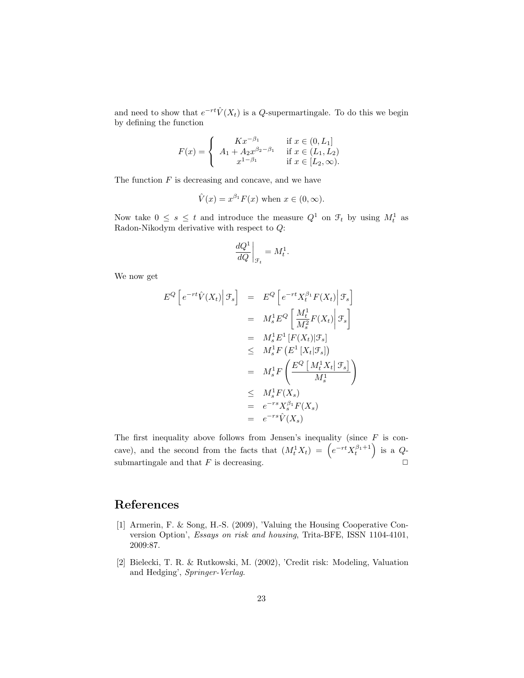and need to show that  $e^{-rt}\hat{V}(X_t)$  is a Q-supermartingale. To do this we begin by defining the function

$$
F(x) = \begin{cases} Kx^{-\beta_1} & \text{if } x \in (0, L_1] \\ A_1 + A_2 x^{\beta_2 - \beta_1} & \text{if } x \in (L_1, L_2) \\ x^{1 - \beta_1} & \text{if } x \in [L_2, \infty). \end{cases}
$$

The function  $F$  is decreasing and concave, and we have

$$
\hat{V}(x) = x^{\beta_1} F(x)
$$
 when  $x \in (0, \infty)$ .

Now take  $0 \leq s \leq t$  and introduce the measure  $Q^1$  on  $\mathcal{F}_t$  by using  $M_t^1$  as Radon-Nikodym derivative with respect to Q:

$$
\left. \frac{dQ^1}{dQ} \right|_{\mathcal{F}_t} = M_t^1.
$$

We now get

$$
E^{Q}\left[e^{-rt}\hat{V}(X_{t})\Big|\mathcal{F}_{s}\right] = E^{Q}\left[e^{-rt}X_{t}^{\beta_{1}}F(X_{t})\Big|\mathcal{F}_{s}\right]
$$
  
\n
$$
= M_{s}^{1}E^{Q}\left[\frac{M_{t}^{1}}{M_{s}^{2}}F(X_{t})\Big|\mathcal{F}_{s}\right]
$$
  
\n
$$
= M_{s}^{1}E^{1}\left[F(X_{t})|\mathcal{F}_{s}\right]
$$
  
\n
$$
\leq M_{s}^{1}F\left(E^{1}\left[X_{t}|\mathcal{F}_{s}\right]\right)
$$
  
\n
$$
= M_{s}^{1}F\left(\frac{E^{Q}\left[M_{t}^{1}X_{t}|\mathcal{F}_{s}\right]}{M_{s}^{1}}\right)
$$
  
\n
$$
\leq M_{s}^{1}F(X_{s})
$$
  
\n
$$
= e^{-rs}X_{s}^{\beta_{1}}F(X_{s})
$$
  
\n
$$
= e^{-rs}\hat{V}(X_{s})
$$

The first inequality above follows from Jensen's inequality (since  $F$  is concave), and the second from the facts that  $(M_t^1 X_t) = (e^{-rt} X_t^{\beta_1+1})$  is a Qsubmartingale and that  $F$  is decreasing.

# References

- [1] Armerin, F. & Song, H.-S. (2009), 'Valuing the Housing Cooperative Conversion Option', Essays on risk and housing, Trita-BFE, ISSN 1104-4101, 2009:87.
- [2] Bielecki, T. R. & Rutkowski, M. (2002), 'Credit risk: Modeling, Valuation and Hedging', Springer-Verlag.